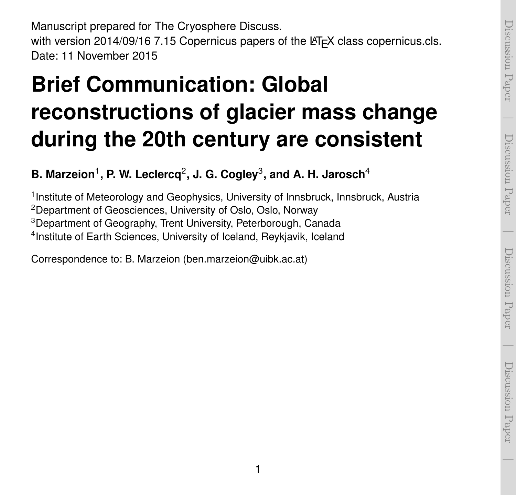Manuscript prepared for The Cryosphere Discuss. with version 2014/09/16 7.15 Copernicus papers of the LATEX class copernicus.cls. Date: 11 November 2015

### **Brief Communication: Global reconstructions of glacier mass change during the 20th century are consistent**

### **B. Marzeion**<sup>1</sup> **, P. W. Leclercq**<sup>2</sup> **, J. G. Cogley**<sup>3</sup> **, and A. H. Jarosch**<sup>4</sup>

<sup>1</sup> Institute of Meteorology and Geophysics, University of Innsbruck, Innsbruck, Austria Department of Geosciences, University of Oslo, Oslo, Norway Department of Geography, Trent University, Peterborough, Canada Institute of Earth Sciences, University of Iceland, Reykjavik, Iceland

Correspondence to: B. Marzeion (ben.marzeion@uibk.ac.at)

 $\overline{\phantom{a}}$ 

Discussion Paper

Discussion Paper

 $\overline{\phantom{a}}$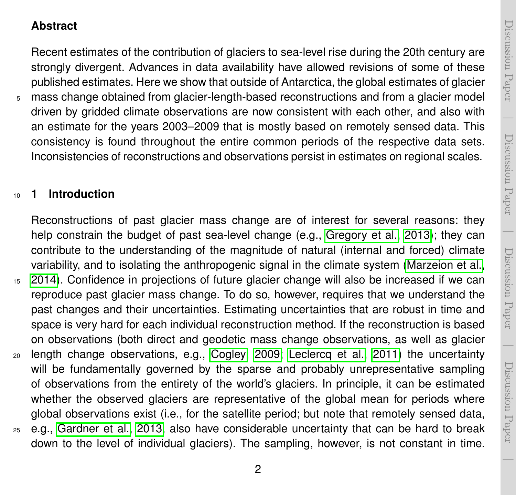$\overline{\phantom{a}}$ 

 $\overline{\phantom{a}}$ 

#### **Abstract**

Recent estimates of the contribution of glaciers to sea-level rise during the 20th century are strongly divergent. Advances in data availability have allowed revisions of some of these published estimates. Here we show that outside of Antarctica, the global estimates of glacier <sup>5</sup> mass change obtained from glacier-length-based reconstructions and from a glacier model driven by gridded climate observations are now consistent with each other, and also with an estimate for the years 2003–2009 that is mostly based on remotely sensed data. This

consistency is found throughout the entire common periods of the respective data sets. Inconsistencies of reconstructions and observations persist in estimates on regional scales.

#### <sup>10</sup> **1 Introduction**

Reconstructions of past glacier mass change are of interest for several reasons: they help constrain the budget of past sea-level change (e.g., [Gregory et al., 2013\)](#page-10-0); they can contribute to the understanding of the magnitude of natural (internal and forced) climate variability, and to isolating the anthropogenic signal in the climate system [\(Marzeion et al.,](#page-11-0) <sup>15</sup> [2014\)](#page-11-0). Confidence in projections of future glacier change will also be increased if we can reproduce past glacier mass change. To do so, however, requires that we understand the past changes and their uncertainties. Estimating uncertainties that are robust in time and space is very hard for each individual reconstruction method. If the reconstruction is based on observations (both direct and geodetic mass change observations, as well as glacier <sup>20</sup> length change observations, e.g., [Cogley, 2009;](#page-10-1) [Leclercq et al., 2011\)](#page-10-2) the uncertainty will be fundamentally governed by the sparse and probably unrepresentative sampling of observations from the entirety of the world's glaciers. In principle, it can be estimated whether the observed glaciers are representative of the global mean for periods where global observations exist (i.e., for the satellite period; but note that remotely sensed data, <sup>25</sup> e.g., [Gardner et al., 2013,](#page-10-3) also have considerable uncertainty that can be hard to break down to the level of individual glaciers). The sampling, however, is not constant in time.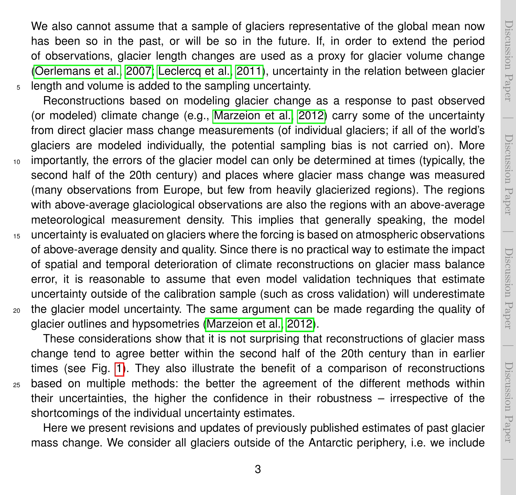Discussion PaperDiscussion Paper

 $\overline{\phantom{a}}$ 

We also cannot assume that a sample of glaciers representative of the global mean now has been so in the past, or will be so in the future. If, in order to extend the period of observations, glacier length changes are used as a proxy for glacier volume change [\(Oerlemans et al., 2007;](#page-11-1) [Leclercq et al., 2011\)](#page-10-2), uncertainty in the relation between glacier <sup>5</sup> length and volume is added to the sampling uncertainty.

Reconstructions based on modeling glacier change as a response to past observed (or modeled) climate change (e.g., [Marzeion et al., 2012\)](#page-11-2) carry some of the uncertainty from direct glacier mass change measurements (of individual glaciers; if all of the world's glaciers are modeled individually, the potential sampling bias is not carried on). More <sup>10</sup> importantly, the errors of the glacier model can only be determined at times (typically, the second half of the 20th century) and places where glacier mass change was measured (many observations from Europe, but few from heavily glacierized regions). The regions with above-average glaciological observations are also the regions with an above-average meteorological measurement density. This implies that generally speaking, the model

15 uncertainty is evaluated on glaciers where the forcing is based on atmospheric observations of above-average density and quality. Since there is no practical way to estimate the impact of spatial and temporal deterioration of climate reconstructions on glacier mass balance error, it is reasonable to assume that even model validation techniques that estimate uncertainty outside of the calibration sample (such as cross validation) will underestimate <sup>20</sup> the glacier model uncertainty. The same argument can be made regarding the quality of glacier outlines and hypsometries [\(Marzeion et al., 2012\)](#page-11-2).

These considerations show that it is not surprising that reconstructions of glacier mass change tend to agree better within the second half of the 20th century than in earlier times (see Fig. [1\)](#page-13-0). They also illustrate the benefit of a comparison of reconstructions <sup>25</sup> based on multiple methods: the better the agreement of the different methods within their uncertainties, the higher the confidence in their robustness – irrespective of the shortcomings of the individual uncertainty estimates.

Here we present revisions and updates of previously published estimates of past glacier mass change. We consider all glaciers outside of the Antarctic periphery, i.e. we include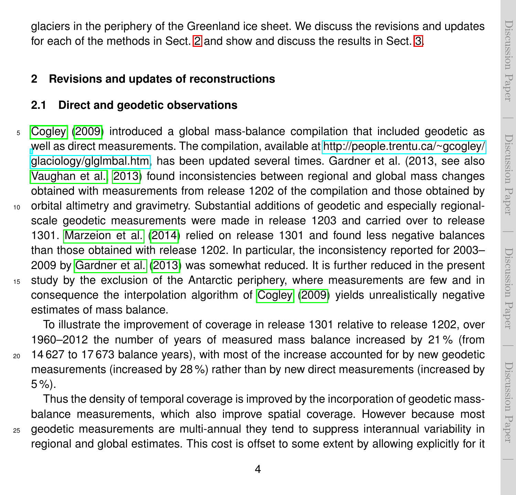$\overline{\phantom{a}}$ 

glaciers in the periphery of the Greenland ice sheet. We discuss the revisions and updates for each of the methods in Sect. [2](#page-3-0) and show and discuss the results in Sect. [3.](#page-6-0)

#### <span id="page-3-0"></span>**2 Revisions and updates of reconstructions**

#### **2.1 Direct and geodetic observations**

- <sup>5</sup> [Cogley](#page-10-1) [\(2009\)](#page-10-1) introduced a global mass-balance compilation that included geodetic as [w](http://people.trentu.ca/~gcogley/glaciology/glglmbal.htm)ell as direct measurements. The compilation, available at [http://people.trentu.ca/~gcogley/](http://people.trentu.ca/~gcogley/glaciology/glglmbal.htm) [glaciology/glglmbal.htm,](http://people.trentu.ca/~gcogley/glaciology/glglmbal.htm) has been updated several times. Gardner et al. (2013, see also [Vaughan et al., 2013\)](#page-11-3) found inconsistencies between regional and global mass changes obtained with measurements from release 1202 of the compilation and those obtained by <sup>10</sup> orbital altimetry and gravimetry. Substantial additions of geodetic and especially regionalscale geodetic measurements were made in release 1203 and carried over to release 1301. [Marzeion et al.](#page-11-0) [\(2014\)](#page-11-0) relied on release 1301 and found less negative balances
- than those obtained with release 1202. In particular, the inconsistency reported for 2003– 2009 by [Gardner et al.](#page-10-3) [\(2013\)](#page-10-3) was somewhat reduced. It is further reduced in the present <sup>15</sup> study by the exclusion of the Antarctic periphery, where measurements are few and in consequence the interpolation algorithm of [Cogley](#page-10-1) [\(2009\)](#page-10-1) yields unrealistically negative estimates of mass balance.

To illustrate the improvement of coverage in release 1301 relative to release 1202, over 1960–2012 the number of years of measured mass balance increased by 21 % (from <sup>20</sup> 14 627 to 17 673 balance years), with most of the increase accounted for by new geodetic measurements (increased by 28 %) rather than by new direct measurements (increased by  $5 \%$ ).

Thus the density of temporal coverage is improved by the incorporation of geodetic massbalance measurements, which also improve spatial coverage. However because most <sup>25</sup> geodetic measurements are multi-annual they tend to suppress interannual variability in regional and global estimates. This cost is offset to some extent by allowing explicitly for it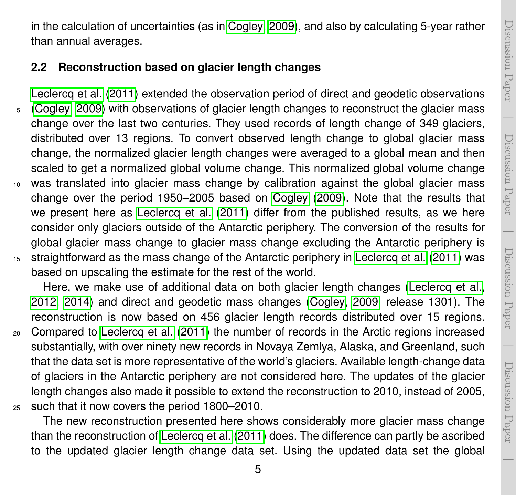Discussion PaperDiscussion Paper

 $\overline{\phantom{a}}$ 

in the calculation of uncertainties (as in [Cogley, 2009\)](#page-10-1), and also by calculating 5-year rather than annual averages.

#### **2.2 Reconstruction based on glacier length changes**

[Leclercq et al.](#page-10-2) [\(2011\)](#page-10-2) extended the observation period of direct and geodetic observations <sup>5</sup> [\(Cogley, 2009\)](#page-10-1) with observations of glacier length changes to reconstruct the glacier mass change over the last two centuries. They used records of length change of 349 glaciers, distributed over 13 regions. To convert observed length change to global glacier mass change, the normalized glacier length changes were averaged to a global mean and then scaled to get a normalized global volume change. This normalized global volume change <sup>10</sup> was translated into glacier mass change by calibration against the global glacier mass change over the period 1950–2005 based on [Cogley](#page-10-1) [\(2009\)](#page-10-1). Note that the results that we present here as [Leclercq et al.](#page-10-2) [\(2011\)](#page-10-2) differ from the published results, as we here consider only glaciers outside of the Antarctic periphery. The conversion of the results for global glacier mass change to glacier mass change excluding the Antarctic periphery is <sup>15</sup> straightforward as the mass change of the Antarctic periphery in [Leclercq et al.](#page-10-2) [\(2011\)](#page-10-2) was based on upscaling the estimate for the rest of the world.

Here, we make use of additional data on both glacier length changes [\(Leclercq et al.,](#page-10-4) [2012,](#page-10-4) [2014\)](#page-11-4) and direct and geodetic mass changes [\(Cogley, 2009,](#page-10-1) release 1301). The reconstruction is now based on 456 glacier length records distributed over 15 regions.

<sup>20</sup> Compared to [Leclercq et al.](#page-10-2) [\(2011\)](#page-10-2) the number of records in the Arctic regions increased substantially, with over ninety new records in Novaya Zemlya, Alaska, and Greenland, such that the data set is more representative of the world's glaciers. Available length-change data of glaciers in the Antarctic periphery are not considered here. The updates of the glacier length changes also made it possible to extend the reconstruction to 2010, instead of 2005, <sup>25</sup> such that it now covers the period 1800–2010.

The new reconstruction presented here shows considerably more glacier mass change than the reconstruction of [Leclercq et al.](#page-10-2) [\(2011\)](#page-10-2) does. The difference can partly be ascribed to the updated glacier length change data set. Using the updated data set the global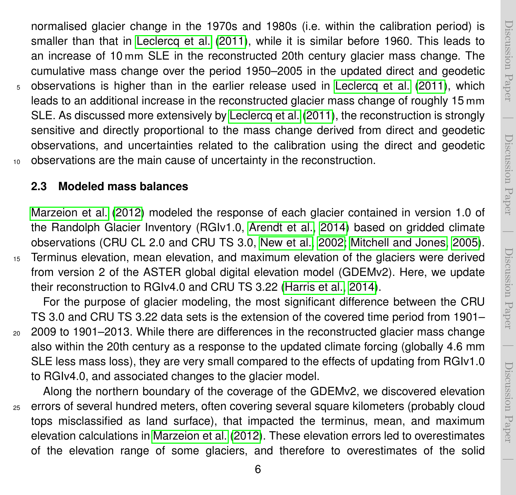Discussion PaperDiscussion Paper  $\overline{\phantom{a}}$ 

 Discussion PaperDiscussion Paper

 $\overline{\phantom{a}}$ 

normalised glacier change in the 1970s and 1980s (i.e. within the calibration period) is smaller than that in [Leclercq et al.](#page-10-2) [\(2011\)](#page-10-2), while it is similar before 1960. This leads to an increase of 10mm SLE in the reconstructed 20th century glacier mass change. The cumulative mass change over the period 1950–2005 in the updated direct and geodetic <sup>5</sup> observations is higher than in the earlier release used in [Leclercq et al.](#page-10-2) [\(2011\)](#page-10-2), which leads to an additional increase in the reconstructed glacier mass change of roughly 15mm SLE. As discussed more extensively by [Leclercq et al.](#page-10-2) [\(2011\)](#page-10-2), the reconstruction is strongly sensitive and directly proportional to the mass change derived from direct and geodetic observations, and uncertainties related to the calibration using the direct and geodetic <sup>10</sup> observations are the main cause of uncertainty in the reconstruction.

#### **2.3 Modeled mass balances**

[Marzeion et al.](#page-11-2) [\(2012\)](#page-11-2) modeled the response of each glacier contained in version 1.0 of the Randolph Glacier Inventory (RGIv1.0, [Arendt et al., 2014\)](#page-10-5) based on gridded climate observations (CRU CL 2.0 and CRU TS 3.0, [New et al., 2002;](#page-11-5) [Mitchell and Jones, 2005\)](#page-11-6). <sup>15</sup> Terminus elevation, mean elevation, and maximum elevation of the glaciers were derived from version 2 of the ASTER global digital elevation model (GDEMv2). Here, we update their reconstruction to RGIv4.0 and CRU TS 3.22 [\(Harris et al., 2014\)](#page-10-6).

For the purpose of glacier modeling, the most significant difference between the CRU TS 3.0 and CRU TS 3.22 data sets is the extension of the covered time period from 1901–

<sup>20</sup> 2009 to 1901–2013. While there are differences in the reconstructed glacier mass change also within the 20th century as a response to the updated climate forcing (globally 4.6 mm SLE less mass loss), they are very small compared to the effects of updating from RGIv1.0 to RGIv4.0, and associated changes to the glacier model.

Along the northern boundary of the coverage of the GDEMv2, we discovered elevation <sup>25</sup> errors of several hundred meters, often covering several square kilometers (probably cloud tops misclassified as land surface), that impacted the terminus, mean, and maximum elevation calculations in [Marzeion et al.](#page-11-2) [\(2012\)](#page-11-2). These elevation errors led to overestimates of the elevation range of some glaciers, and therefore to overestimates of the solid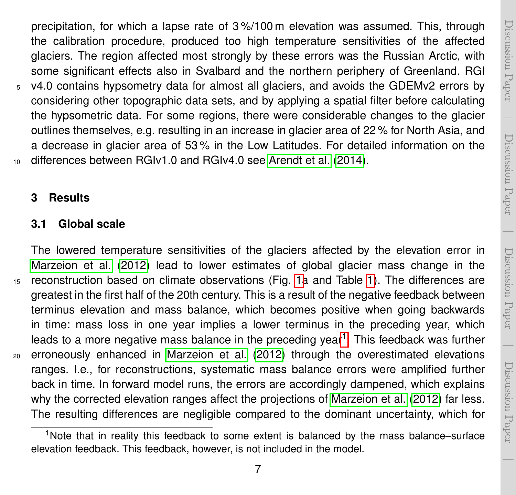$\overline{\phantom{a}}$ 

 $\overline{\phantom{a}}$ 

precipitation, for which a lapse rate of 3 %/100 m elevation was assumed. This, through the calibration procedure, produced too high temperature sensitivities of the affected glaciers. The region affected most strongly by these errors was the Russian Arctic, with some significant effects also in Svalbard and the northern periphery of Greenland. RGI <sup>5</sup> v4.0 contains hypsometry data for almost all glaciers, and avoids the GDEMv2 errors by considering other topographic data sets, and by applying a spatial filter before calculating the hypsometric data. For some regions, there were considerable changes to the glacier outlines themselves, e.g. resulting in an increase in glacier area of 22 % for North Asia, and a decrease in glacier area of 53 % in the Low Latitudes. For detailed information on the 10 differences between RGIv1.0 and RGIv4.0 see [Arendt et al.](#page-10-5) [\(2014\)](#page-10-5).

#### <span id="page-6-0"></span>**3 Results**

#### <span id="page-6-2"></span>**3.1 Global scale**

The lowered temperature sensitivities of the glaciers affected by the elevation error in [Marzeion et al.](#page-11-2) [\(2012\)](#page-11-2) lead to lower estimates of global glacier mass change in the <sup>15</sup> reconstruction based on climate observations (Fig. [1a](#page-13-0) and Table [1\)](#page-12-0). The differences are greatest in the first half of the 20th century. This is a result of the negative feedback between terminus elevation and mass balance, which becomes positive when going backwards in time: mass loss in one year implies a lower terminus in the preceding year, which leads to a more negative mass balance in the preceding year<sup>[1](#page-6-1)</sup>. This feedback was further <sup>20</sup> erroneously enhanced in [Marzeion et al.](#page-11-2) [\(2012\)](#page-11-2) through the overestimated elevations ranges. I.e., for reconstructions, systematic mass balance errors were amplified further back in time. In forward model runs, the errors are accordingly dampened, which explains why the corrected elevation ranges affect the projections of [Marzeion et al.](#page-11-2) [\(2012\)](#page-11-2) far less. The resulting differences are negligible compared to the dominant uncertainty, which for

<span id="page-6-1"></span><sup>&</sup>lt;sup>1</sup>Note that in reality this feedback to some extent is balanced by the mass balance–surface elevation feedback. This feedback, however, is not included in the model.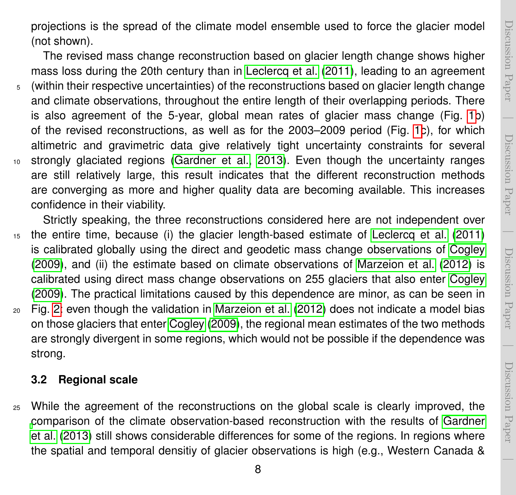projections is the spread of the climate model ensemble used to force the glacier model (not shown).

The revised mass change reconstruction based on glacier length change shows higher mass loss during the 20th century than in [Leclercq et al.](#page-10-2) [\(2011\)](#page-10-2), leading to an agreement <sup>5</sup> (within their respective uncertainties) of the reconstructions based on glacier length change and climate observations, throughout the entire length of their overlapping periods. There is also agreement of the 5-year, global mean rates of glacier mass change (Fig. [1b](#page-13-0)) of the revised reconstructions, as well as for the 2003–2009 period (Fig. [1c](#page-13-0)), for which altimetric and gravimetric data give relatively tight uncertainty constraints for several <sup>10</sup> strongly glaciated regions [\(Gardner et al., 2013\)](#page-10-3). Even though the uncertainty ranges are still relatively large, this result indicates that the different reconstruction methods are converging as more and higher quality data are becoming available. This increases confidence in their viability.

Strictly speaking, the three reconstructions considered here are not independent over <sup>15</sup> the entire time, because (i) the glacier length-based estimate of [Leclercq et al.](#page-10-2) [\(2011\)](#page-10-2) is calibrated globally using the direct and geodetic mass change observations of [Cogley](#page-10-1) [\(2009\)](#page-10-1), and (ii) the estimate based on climate observations of [Marzeion et al.](#page-11-2) [\(2012\)](#page-11-2) is calibrated using direct mass change observations on 255 glaciers that also enter [Cogley](#page-10-1) [\(2009\)](#page-10-1). The practical limitations caused by this dependence are minor, as can be seen in <sup>20</sup> Fig. [2:](#page-14-0) even though the validation in [Marzeion et al.](#page-11-2) [\(2012\)](#page-11-2) does not indicate a model bias on those glaciers that enter [Cogley](#page-10-1) [\(2009\)](#page-10-1), the regional mean estimates of the two methods

are strongly divergent in some regions, which would not be possible if the dependence was strong.

#### **3.2 Regional scale**

<sup>25</sup> While the agreement of the reconstructions on the global scale is clearly improved, the [c](#page-10-3)omparison of the climate observation-based reconstruction with the results of [Gardner](#page-10-3) [et al.](#page-10-3) [\(2013\)](#page-10-3) still shows considerable differences for some of the regions. In regions where the spatial and temporal densitiy of glacier observations is high (e.g., Western Canada &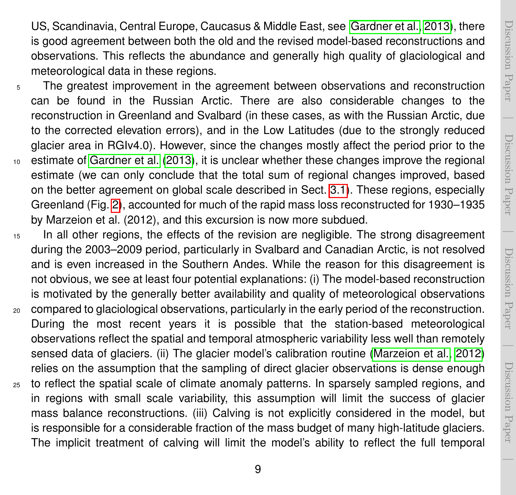US, Scandinavia, Central Europe, Caucasus & Middle East, see [Gardner et al., 2013\)](#page-10-3), there is good agreement between both the old and the revised model-based reconstructions and observations. This reflects the abundance and generally high quality of glaciological and meteorological data in these regions.

- <sup>5</sup> The greatest improvement in the agreement between observations and reconstruction can be found in the Russian Arctic. There are also considerable changes to the reconstruction in Greenland and Svalbard (in these cases, as with the Russian Arctic, due to the corrected elevation errors), and in the Low Latitudes (due to the strongly reduced glacier area in RGIv4.0). However, since the changes mostly affect the period prior to the <sup>10</sup> estimate of [Gardner et al.](#page-10-3) [\(2013\)](#page-10-3), it is unclear whether these changes improve the regional estimate (we can only conclude that the total sum of regional changes improved, based on the better agreement on global scale described in Sect. [3.1\)](#page-6-2). These regions, especially Greenland (Fig. [2\)](#page-14-0), accounted for much of the rapid mass loss reconstructed for 1930–1935 by Marzeion et al. (2012), and this excursion is now more subdued.
- <sup>15</sup> In all other regions, the effects of the revision are negligible. The strong disagreement during the 2003–2009 period, particularly in Svalbard and Canadian Arctic, is not resolved and is even increased in the Southern Andes. While the reason for this disagreement is not obvious, we see at least four potential explanations: (i) The model-based reconstruction is motivated by the generally better availability and quality of meteorological observations <sup>20</sup> compared to glaciological observations, particularly in the early period of the reconstruction. During the most recent years it is possible that the station-based meteorological observations reflect the spatial and temporal atmospheric variability less well than remotely sensed data of glaciers. (ii) The glacier model's calibration routine [\(Marzeion et al., 2012\)](#page-11-2) relies on the assumption that the sampling of direct glacier observations is dense enough <sup>25</sup> to reflect the spatial scale of climate anomaly patterns. In sparsely sampled regions, and in regions with small scale variability, this assumption will limit the success of glacier mass balance reconstructions. (iii) Calving is not explicitly considered in the model, but is responsible for a considerable fraction of the mass budget of many high-latitude glaciers. The implicit treatment of calving will limit the model's ability to reflect the full temporal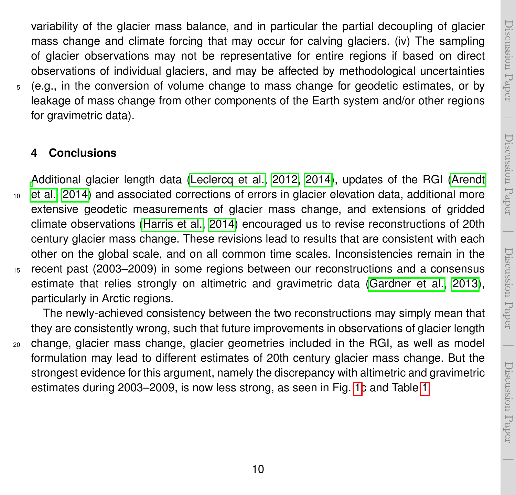$\overline{\phantom{a}}$ 

 $\overline{\phantom{a}}$ 

variability of the glacier mass balance, and in particular the partial decoupling of glacier mass change and climate forcing that may occur for calving glaciers. (iv) The sampling of glacier observations may not be representative for entire regions if based on direct observations of individual glaciers, and may be affected by methodological uncertainties <sup>5</sup> (e.g., in the conversion of volume change to mass change for geodetic estimates, or by leakage of mass change from other components of the Earth system and/or other regions for gravimetric data).

#### **4 Conclusions**

[A](#page-10-5)dditional glacier length data [\(Leclercq et al., 2012,](#page-10-4) [2014\)](#page-11-4), updates of the RGI [\(Arendt](#page-10-5) <sup>10</sup> [et al., 2014\)](#page-10-5) and associated corrections of errors in glacier elevation data, additional more extensive geodetic measurements of glacier mass change, and extensions of gridded climate observations [\(Harris et al., 2014\)](#page-10-6) encouraged us to revise reconstructions of 20th century glacier mass change. These revisions lead to results that are consistent with each other on the global scale, and on all common time scales. Inconsistencies remain in the <sup>15</sup> recent past (2003–2009) in some regions between our reconstructions and a consensus estimate that relies strongly on altimetric and gravimetric data [\(Gardner et al., 2013\)](#page-10-3), particularly in Arctic regions.

The newly-achieved consistency between the two reconstructions may simply mean that they are consistently wrong, such that future improvements in observations of glacier length <sup>20</sup> change, glacier mass change, glacier geometries included in the RGI, as well as model formulation may lead to different estimates of 20th century glacier mass change. But the strongest evidence for this argument, namely the discrepancy with altimetric and gravimetric estimates during 2003–2009, is now less strong, as seen in Fig. [1c](#page-13-0) and Table [1.](#page-12-0)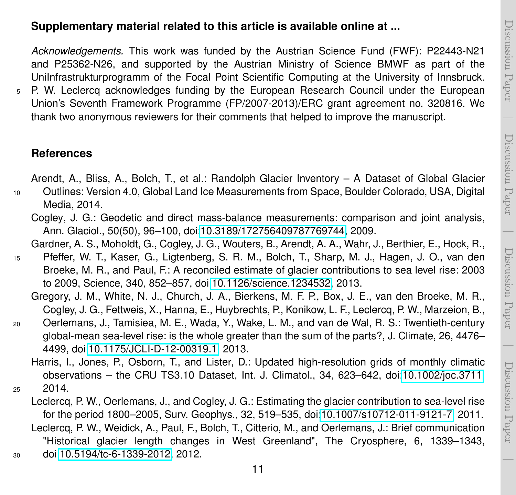$\overline{\phantom{a}}$ 

Discussion Paper

Discussion Paper

*Acknowledgements.* This work was funded by the Austrian Science Fund (FWF): P22443-N21 and P25362-N26, and supported by the Austrian Ministry of Science BMWF as part of the UniInfrastrukturprogramm of the Focal Point Scientific Computing at the University of Innsbruck.

<sup>5</sup> P. W. Leclercq acknowledges funding by the European Research Council under the European Union's Seventh Framework Programme (FP/2007-2013)/ERC grant agreement no. 320816. We thank two anonymous reviewers for their comments that helped to improve the manuscript.

#### **References**

Arendt, A., Bliss, A., Bolch, T., et al.: Randolph Glacier Inventory – A Dataset of Global Glacier

- <span id="page-10-5"></span><span id="page-10-1"></span><sup>10</sup> Outlines: Version 4.0, Global Land Ice Measurements from Space, Boulder Colorado, USA, Digital Media, 2014.
	- Cogley, J. G.: Geodetic and direct mass-balance measurements: comparison and joint analysis, Ann. Glaciol., 50(50), 96–100, doi[:10.3189/172756409787769744,](http://dx.doi.org/10.3189/172756409787769744) 2009.

Gardner, A. S., Moholdt, G., Cogley, J. G., Wouters, B., Arendt, A. A., Wahr, J., Berthier, E., Hock, R.,

- <span id="page-10-3"></span><sup>15</sup> Pfeffer, W. T., Kaser, G., Ligtenberg, S. R. M., Bolch, T., Sharp, M. J., Hagen, J. O., van den Broeke, M. R., and Paul, F.: A reconciled estimate of glacier contributions to sea level rise: 2003 to 2009, Science, 340, 852–857, doi[:10.1126/science.1234532,](http://dx.doi.org/10.1126/science.1234532) 2013.
	- Gregory, J. M., White, N. J., Church, J. A., Bierkens, M. F. P., Box, J. E., van den Broeke, M. R., Cogley, J. G., Fettweis, X., Hanna, E., Huybrechts, P., Konikow, L. F., Leclercq, P. W., Marzeion, B.,
- <span id="page-10-0"></span><sup>20</sup> Oerlemans, J., Tamisiea, M. E., Wada, Y., Wake, L. M., and van de Wal, R. S.: Twentieth-century global-mean sea-level rise: is the whole greater than the sum of the parts?, J. Climate, 26, 4476– 4499, doi[:10.1175/JCLI-D-12-00319.1,](http://dx.doi.org/10.1175/JCLI-D-12-00319.1) 2013.
- <span id="page-10-6"></span>Harris, I., Jones, P., Osborn, T., and Lister, D.: Updated high-resolution grids of monthly climatic observations – the CRU TS3.10 Dataset, Int. J. Climatol., 34, 623–642, doi[:10.1002/joc.3711,](http://dx.doi.org/10.1002/joc.3711) <sup>25</sup> 2014.
- <span id="page-10-4"></span><span id="page-10-2"></span>Leclercq, P. W., Oerlemans, J., and Cogley, J. G.: Estimating the glacier contribution to sea-level rise for the period 1800–2005, Surv. Geophys., 32, 519–535, doi[:10.1007/s10712-011-9121-7,](http://dx.doi.org/10.1007/s10712-011-9121-7) 2011. Leclercq, P. W., Weidick, A., Paul, F., Bolch, T., Citterio, M., and Oerlemans, J.: Brief communication "Historical glacier length changes in West Greenland", The Cryosphere, 6, 1339–1343, <sup>30</sup> doi[:10.5194/tc-6-1339-2012,](http://dx.doi.org/10.5194/tc-6-1339-2012) 2012.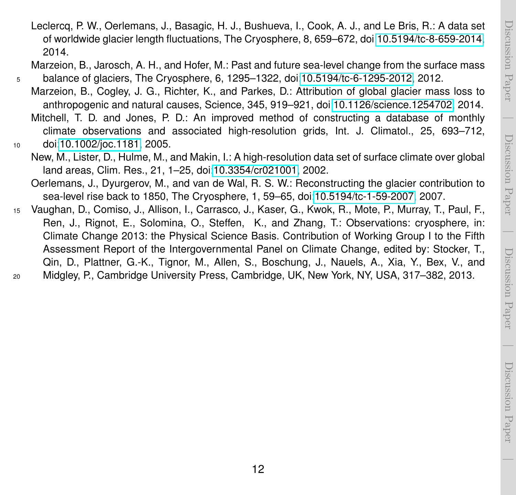<span id="page-11-2"></span><span id="page-11-0"></span><sup>5</sup> balance of glaciers, The Cryosphere, 6, 1295–1322, doi[:10.5194/tc-6-1295-2012,](http://dx.doi.org/10.5194/tc-6-1295-2012) 2012. Marzeion, B., Cogley, J. G., Richter, K., and Parkes, D.: Attribution of global glacier mass loss to anthropogenic and natural causes, Science, 345, 919–921, doi[:10.1126/science.1254702,](http://dx.doi.org/10.1126/science.1254702) 2014.

<span id="page-11-4"></span>Leclercq, P. W., Oerlemans, J., Basagic, H. J., Bushueva, I., Cook, A. J., and Le Bris, R.: A data set

- <span id="page-11-6"></span>Mitchell, T. D. and Jones, P. D.: An improved method of constructing a database of monthly climate observations and associated high-resolution grids, Int. J. Climatol., 25, 693–712, <sup>10</sup> doi[:10.1002/joc.1181,](http://dx.doi.org/10.1002/joc.1181) 2005.
- <span id="page-11-5"></span>

2014.

- New, M., Lister, D., Hulme, M., and Makin, I.: A high-resolution data set of surface climate over global land areas, Clim. Res., 21, 1–25, doi[:10.3354/cr021001,](http://dx.doi.org/10.3354/cr021001) 2002.
- <span id="page-11-1"></span>Oerlemans, J., Dyurgerov, M., and van de Wal, R. S. W.: Reconstructing the glacier contribution to sea-level rise back to 1850, The Cryosphere, 1, 59–65, doi[:10.5194/tc-1-59-2007,](http://dx.doi.org/10.5194/tc-1-59-2007) 2007.
- <span id="page-11-3"></span><sup>15</sup> Vaughan, D., Comiso, J., Allison, I., Carrasco, J., Kaser, G., Kwok, R., Mote, P., Murray, T., Paul, F., Ren, J., Rignot, E., Solomina, O., Steffen, K., and Zhang, T.: Observations: cryosphere, in: Climate Change 2013: the Physical Science Basis. Contribution of Working Group I to the Fifth Assessment Report of the Intergovernmental Panel on Climate Change, edited by: Stocker, T., Qin, D., Plattner, G.-K., Tignor, M., Allen, S., Boschung, J., Nauels, A., Xia, Y., Bex, V., and <sup>20</sup> Midgley, P., Cambridge University Press, Cambridge, UK, New York, NY, USA, 317–382, 2013.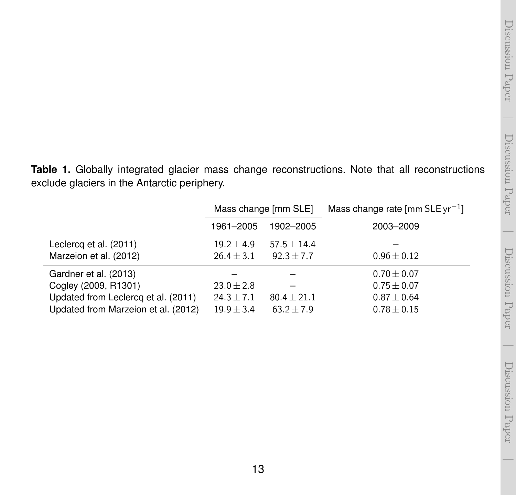$\overline{\phantom{a}}$ 

<span id="page-12-0"></span>**Table 1.** Globally integrated glacier mass change reconstructions. Note that all reconstructions exclude glaciers in the Antarctic periphery.

|                                     | Mass change [mm SLE] |               | Mass change rate $\lceil \text{mm SLE yr}^{-1} \rceil$ |
|-------------------------------------|----------------------|---------------|--------------------------------------------------------|
|                                     | 1961-2005            | 1902-2005     | 2003-2009                                              |
| Leclercq et al. (2011)              | $19.2 + 4.9$         | $57.5 + 14.4$ |                                                        |
| Marzeion et al. (2012)              | $26.4 \pm 3.1$       | $92.3 + 7.7$  | $0.96 \pm 0.12$                                        |
| Gardner et al. (2013)               |                      |               | $0.70 \pm 0.07$                                        |
| Cogley (2009, R1301)                | $23.0 \pm 2.8$       |               | $0.75 \pm 0.07$                                        |
| Updated from Leclercq et al. (2011) | $24.3 \pm 7.1$       | $80.4 + 21.1$ | $0.87 \pm 0.64$                                        |
| Updated from Marzeion et al. (2012) | $19.9 + 3.4$         | $63.2 + 7.9$  | $0.78 \pm 0.15$                                        |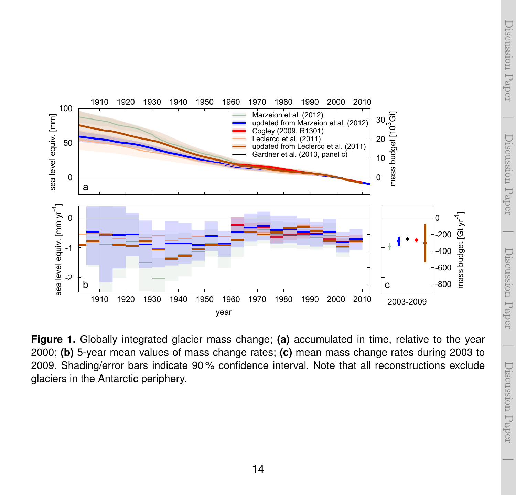<span id="page-13-0"></span>

**Figure 1.** Globally integrated glacier mass change; **(a)** accumulated in time, relative to the year 2000; **(b)** 5-year mean values of mass change rates; **(c)** mean mass change rates during 2003 to 2009. Shading/error bars indicate 90 % confidence interval. Note that all reconstructions exclude glaciers in the Antarctic periphery.